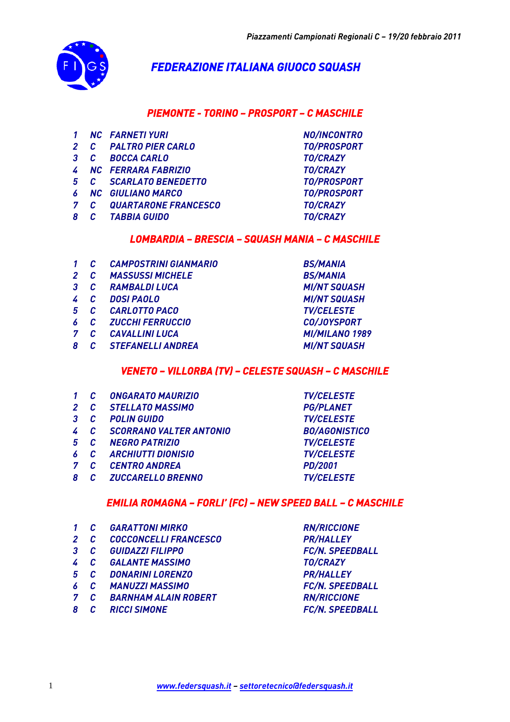

# *FEDERAZIONE ITALIANA GIUOCO SQUASH*

# *PIEMONTE - TORINO – PROSPORT – C MASCHILE*

- *1 NC FARNETI YURI NO/INCONTRO*
- *2 C PALTRO PIER CARLO TO/PROSPORT*
- *3 C BOCCA CARLO TO/CRAZY*
- *4 NC FERRARA FABRIZIO TO/CRAZY*
- *5 C SCARLATO BENEDETTO TO/PROSPORT*
- *6 NC GIULIANO MARCO TO/PROSPORT*
- *7 C QUARTARONE FRANCESCO TO/CRAZY*
- *8 C TABBIA GUIDO TO/CRAZY*

### *LOMBARDIA – BRESCIA – SQUASH MANIA – C MASCHILE*

- *1 C CAMPOSTRINI GIANMARIO BS/MANIA*
- *2 C MASSUSSI MICHELE BS/MANIA*
- *3 C RAMBALDI LUCA MI/NT SQUASH*
- *4 C DOSI PAOLO MI/NT SQUASH*
- *5 C CARLOTTO PACO TV/CELESTE*
- *6 C ZUCCHI FERRUCCIO CO/JOYSPORT*
- 
- *8 C STEFANELLI ANDREA MI/NT SQUASH*

*7 C CAVALLINI LUCA MI/MILANO 1989* 

### *VENETO – VILLORBA (TV) – CELESTE SQUASH – C MASCHILE*

- *1 C ONGARATO MAURIZIO TV/CELESTE*
- *2 C STELLATO MASSIMO PG/PLANET*
- *3 C POLIN GUIDO TV/CELESTE*
- *4 C SCORRANO VALTER ANTONIO BO/AGONISTICO*
- *5 C NEGRO PATRIZIO TV/CELESTE*
- *6 C ARCHIUTTI DIONISIO TV/CELESTE*
- *7 C CENTRO ANDREA PD/2001*
- *8 C ZUCCARELLO BRENNO TV/CELESTE*

# *EMILIA ROMAGNA – FORLI' (FC) – NEW SPEED BALL – C MASCHILE*

- *1 C GARATTONI MIRKO RN/RICCIONE*
- *2 C COCCONCELLI FRANCESCO PR/HALLEY*
- *3 C GUIDAZZI FILIPPO FC/N. SPEEDBALL*
- *4 C GALANTE MASSIMO TO/CRAZY*
- *5 C DONARINI LORENZO PR/HALLEY*
- *6 C MANUZZI MASSIMO FC/N. SPEEDBALL*
- *7 C BARNHAM ALAIN ROBERT RN/RICCIONE*
- *8 C RICCI SIMONE FC/N. SPEEDBALL*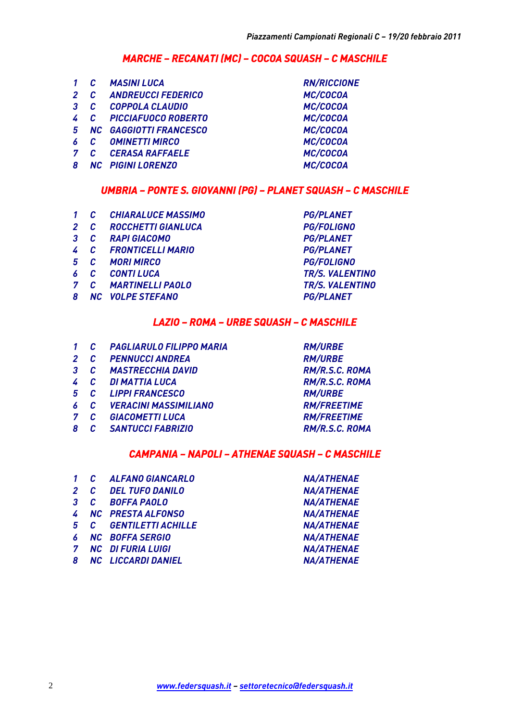### *MARCHE – RECANATI (MC) – COCOA SQUASH – C MASCHILE*

|              |              | <b>MASINI LUCA</b>     | <b>RN/RICCIONE</b> |
|--------------|--------------|------------------------|--------------------|
|              |              | 2 C ANDREUCCI FEDERICO | MC/COCOA           |
| 3            | C            | COPPOLA CLAUDIO        | MC/COCOA           |
| $\mathbf{r}$ |              | C PICCIAFUOCO ROBERTO  | MC/COCOA           |
| 5            |              | NC GAGGIOTTI FRANCESCO | MC/COCOA           |
| 6            | $\mathbb{C}$ | <b>OMINETTI MIRCO</b>  | MC/COCOA           |
| 7            | C            | <b>CERASA RAFFAELE</b> | MC/COCOA           |
| 8            |              | NC PIGINI LORENZO      | MC/COCOA           |
|              |              |                        |                    |

#### *UMBRIA – PONTE S. GIOVANNI (PG) – PLANET SQUASH – C MASCHILE*

| 1 | $\mathcal{C}$ |  | <b>CHIARALUCE MASSIMO</b> |  |
|---|---------------|--|---------------------------|--|
|   |               |  |                           |  |

- *2 C ROCCHETTI GIANLUCA PG/FOLIGNO*
- *3 C RAPI GIACOMO PG/PLANET*
- *4 C FRONTICELLI MARIO PG/PLANET*
- *5 C MORI MIRCO PG/FOLIGNO*
- *6 C CONTI LUCA TR/S. VALENTINO*
- *7 C MARTINELLI PAOLO TR/S. VALENTINO*
- *8 NC VOLPE STEFANO PG/PLANET*

 $PG/PLANET$ 

### *LAZIO – ROMA – URBE SQUASH – C MASCHILE*

- *1 C PAGLIARULO FILIPPO MARIA RM/URBE*
- *2 C PENNUCCI ANDREA RM/URBE*
- *3 C MASTRECCHIA DAVID RM/R.S.C. ROMA*
- *4 C DI MATTIA LUCA RM/R.S.C. ROMA*
- *5 C LIPPI FRANCESCO RM/URBE*
- *6 C VERACINI MASSIMILIANO RM/FREETIME*
- *7 C GIACOMETTI LUCA RM/FREETIME*
- *8 C SANTUCCI FABRIZIO RM/R.S.C. ROMA*

#### *CAMPANIA – NAPOLI – ATHENAE SQUASH – C MASCHILE*

|  | 1 C ALFANO GIANCARLO   | <b>NA/ATHENAE</b> |
|--|------------------------|-------------------|
|  | 2 C DEL TUFO DANILO    | <b>NA/ATHENAE</b> |
|  | 3 C BOFFA PAOLO        | <b>NA/ATHENAE</b> |
|  | 4 NC PRESTA ALFONSO    | <b>NA/ATHENAE</b> |
|  | 5 C GENTILETTI ACHILLE | <b>NA/ATHENAE</b> |
|  | 6 NC BOFFA SERGIO      | <b>NA/ATHENAE</b> |
|  | 7 NC DIFURIA LUIGI     | <b>NA/ATHENAE</b> |
|  | 8 NC LICCARDI DANIEL   | <b>NA/ATHENAE</b> |
|  |                        |                   |